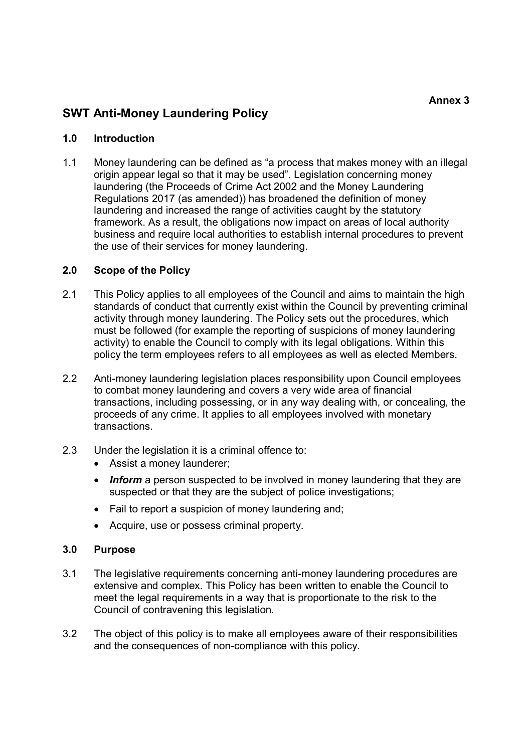Annex 3

# SWT Anti-Money Laundering Policy

### 1.0 Introduction

1.1 Money laundering can be defined as "a process that makes money with an illegal origin appear legal so that it may be used". Legislation concerning money laundering (the Proceeds of Crime Act 2002 and the Money Laundering Regulations 2017 (as amended)) has broadened the definition of money laundering and increased the range of activities caught by the statutory framework. As a result, the obligations now impact on areas of local authority business and require local authorities to establish internal procedures to prevent the use of their services for money laundering.

### 2.0 Scope of the Policy

- 2.1 This Policy applies to all employees of the Council and aims to maintain the high standards of conduct that currently exist within the Council by preventing criminal activity through money laundering. The Policy sets out the procedures, which must be followed (for example the reporting of suspicions of money laundering activity) to enable the Council to comply with its legal obligations. Within this policy the term employees refers to all employees as well as elected Members.
- 2.2 Anti-money laundering legislation places responsibility upon Council employees to combat money laundering and covers a very wide area of financial transactions, including possessing, or in any way dealing with, or concealing, the proceeds of any crime. It applies to all employees involved with monetary transactions.
- 2.3 Under the legislation it is a criminal offence to:
	- Assist a money launderer;
	- Inform a person suspected to be involved in money laundering that they are suspected or that they are the subject of police investigations;
	- Fail to report a suspicion of money laundering and:
	- Acquire, use or possess criminal property.

#### 3.0 Purpose

- 3.1 The legislative requirements concerning anti-money laundering procedures are extensive and complex. This Policy has been written to enable the Council to meet the legal requirements in a way that is proportionate to the risk to the Council of contravening this legislation.
- 3.2 The object of this policy is to make all employees aware of their responsibilities and the consequences of non-compliance with this policy.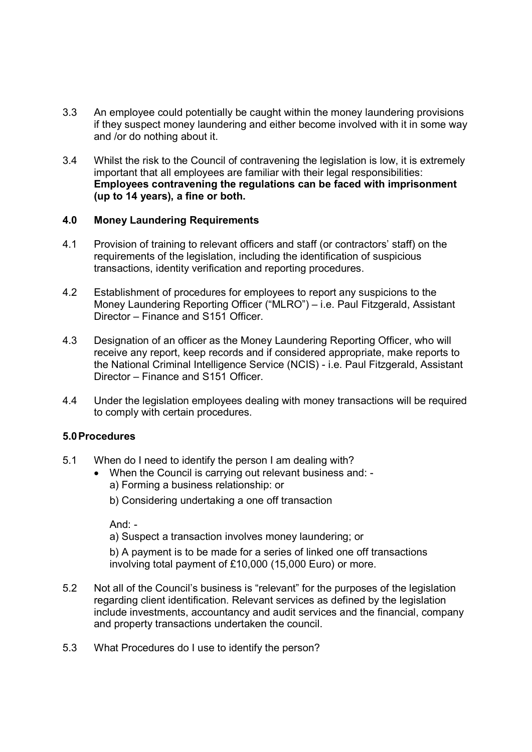- 3.3 An employee could potentially be caught within the money laundering provisions if they suspect money laundering and either become involved with it in some way and /or do nothing about it.
- 3.4 Whilst the risk to the Council of contravening the legislation is low, it is extremely important that all employees are familiar with their legal responsibilities: Employees contravening the regulations can be faced with imprisonment (up to 14 years), a fine or both.

#### 4.0 Money Laundering Requirements

- 4.1 Provision of training to relevant officers and staff (or contractors' staff) on the requirements of the legislation, including the identification of suspicious transactions, identity verification and reporting procedures.
- 4.2 Establishment of procedures for employees to report any suspicions to the Money Laundering Reporting Officer ("MLRO") – i.e. Paul Fitzgerald, Assistant Director – Finance and S151 Officer.
- 4.3 Designation of an officer as the Money Laundering Reporting Officer, who will receive any report, keep records and if considered appropriate, make reports to the National Criminal Intelligence Service (NCIS) - i.e. Paul Fitzgerald, Assistant Director – Finance and S151 Officer.
- 4.4 Under the legislation employees dealing with money transactions will be required to comply with certain procedures.

### 5.0 Procedures

- 5.1 When do I need to identify the person I am dealing with?
	- When the Council is carrying out relevant business and:
		- a) Forming a business relationship: or
		- b) Considering undertaking a one off transaction

And:  $-$ 

a) Suspect a transaction involves money laundering; or

b) A payment is to be made for a series of linked one off transactions involving total payment of £10,000 (15,000 Euro) or more.

- 5.2 Not all of the Council's business is "relevant" for the purposes of the legislation regarding client identification. Relevant services as defined by the legislation include investments, accountancy and audit services and the financial, company and property transactions undertaken the council.
- 5.3 What Procedures do I use to identify the person?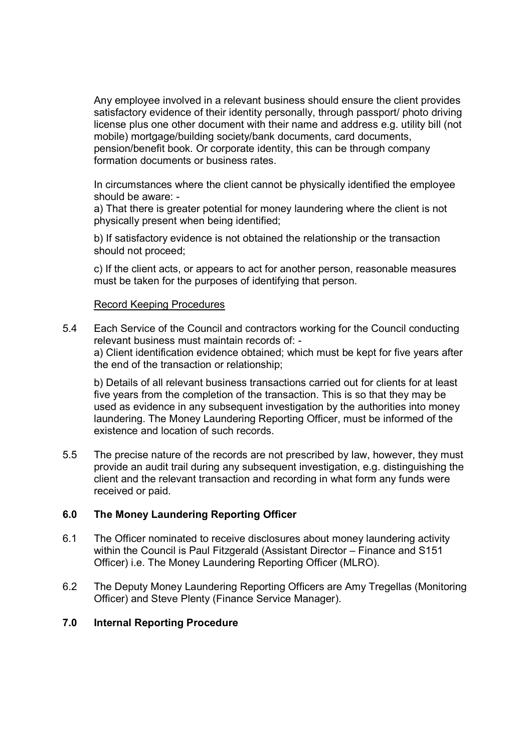Any employee involved in a relevant business should ensure the client provides satisfactory evidence of their identity personally, through passport/ photo driving license plus one other document with their name and address e.g. utility bill (not mobile) mortgage/building society/bank documents, card documents, pension/benefit book. Or corporate identity, this can be through company formation documents or business rates.

In circumstances where the client cannot be physically identified the employee should be aware: -

a) That there is greater potential for money laundering where the client is not physically present when being identified;

b) If satisfactory evidence is not obtained the relationship or the transaction should not proceed;

c) If the client acts, or appears to act for another person, reasonable measures must be taken for the purposes of identifying that person.

### Record Keeping Procedures

5.4 Each Service of the Council and contractors working for the Council conducting relevant business must maintain records of: a) Client identification evidence obtained; which must be kept for five years after the end of the transaction or relationship;

b) Details of all relevant business transactions carried out for clients for at least five years from the completion of the transaction. This is so that they may be used as evidence in any subsequent investigation by the authorities into money laundering. The Money Laundering Reporting Officer, must be informed of the existence and location of such records.

5.5 The precise nature of the records are not prescribed by law, however, they must provide an audit trail during any subsequent investigation, e.g. distinguishing the client and the relevant transaction and recording in what form any funds were received or paid.

### 6.0 The Money Laundering Reporting Officer

- 6.1 The Officer nominated to receive disclosures about money laundering activity within the Council is Paul Fitzgerald (Assistant Director – Finance and S151 Officer) i.e. The Money Laundering Reporting Officer (MLRO).
- 6.2 The Deputy Money Laundering Reporting Officers are Amy Tregellas (Monitoring Officer) and Steve Plenty (Finance Service Manager).

### 7.0 Internal Reporting Procedure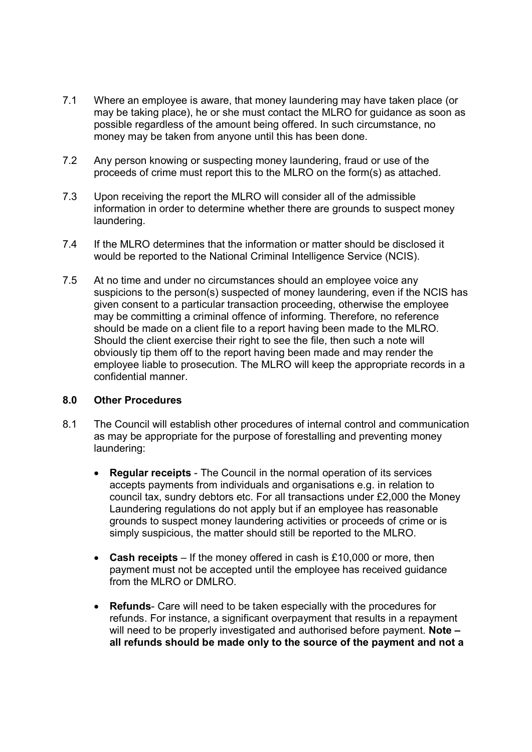- 7.1 Where an employee is aware, that money laundering may have taken place (or may be taking place), he or she must contact the MLRO for guidance as soon as possible regardless of the amount being offered. In such circumstance, no money may be taken from anyone until this has been done.
- 7.2 Any person knowing or suspecting money laundering, fraud or use of the proceeds of crime must report this to the MLRO on the form(s) as attached.
- 7.3 Upon receiving the report the MLRO will consider all of the admissible information in order to determine whether there are grounds to suspect money laundering.
- 7.4 If the MLRO determines that the information or matter should be disclosed it would be reported to the National Criminal Intelligence Service (NCIS).
- 7.5 At no time and under no circumstances should an employee voice any suspicions to the person(s) suspected of money laundering, even if the NCIS has given consent to a particular transaction proceeding, otherwise the employee may be committing a criminal offence of informing. Therefore, no reference should be made on a client file to a report having been made to the MLRO. Should the client exercise their right to see the file, then such a note will obviously tip them off to the report having been made and may render the employee liable to prosecution. The MLRO will keep the appropriate records in a confidential manner.

#### 8.0 Other Procedures

- 8.1 The Council will establish other procedures of internal control and communication as may be appropriate for the purpose of forestalling and preventing money laundering:
	- Regular receipts The Council in the normal operation of its services accepts payments from individuals and organisations e.g. in relation to council tax, sundry debtors etc. For all transactions under £2,000 the Money Laundering regulations do not apply but if an employee has reasonable grounds to suspect money laundering activities or proceeds of crime or is simply suspicious, the matter should still be reported to the MLRO.
	- Cash receipts If the money offered in cash is £10,000 or more, then payment must not be accepted until the employee has received guidance from the MLRO or DMLRO.
	- Refunds- Care will need to be taken especially with the procedures for refunds. For instance, a significant overpayment that results in a repayment will need to be properly investigated and authorised before payment. Note all refunds should be made only to the source of the payment and not a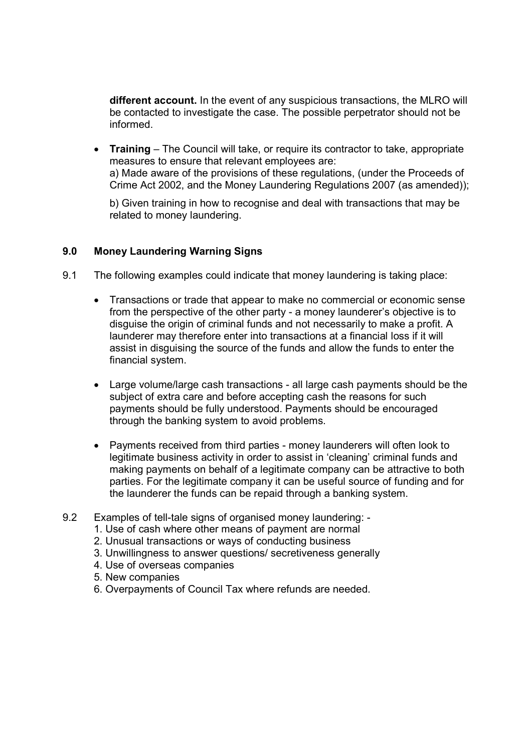different account. In the event of any suspicious transactions, the MLRO will be contacted to investigate the case. The possible perpetrator should not be informed.

• Training – The Council will take, or require its contractor to take, appropriate measures to ensure that relevant employees are: a) Made aware of the provisions of these regulations, (under the Proceeds of Crime Act 2002, and the Money Laundering Regulations 2007 (as amended));

b) Given training in how to recognise and deal with transactions that may be related to money laundering.

## 9.0 Money Laundering Warning Signs

- 9.1 The following examples could indicate that money laundering is taking place:
	- Transactions or trade that appear to make no commercial or economic sense from the perspective of the other party - a money launderer's objective is to disguise the origin of criminal funds and not necessarily to make a profit. A launderer may therefore enter into transactions at a financial loss if it will assist in disguising the source of the funds and allow the funds to enter the financial system.
	- Large volume/large cash transactions all large cash payments should be the subject of extra care and before accepting cash the reasons for such payments should be fully understood. Payments should be encouraged through the banking system to avoid problems.
	- Payments received from third parties money launderers will often look to legitimate business activity in order to assist in 'cleaning' criminal funds and making payments on behalf of a legitimate company can be attractive to both parties. For the legitimate company it can be useful source of funding and for the launderer the funds can be repaid through a banking system.
- 9.2 Examples of tell-tale signs of organised money laundering:
	- 1. Use of cash where other means of payment are normal
	- 2. Unusual transactions or ways of conducting business
	- 3. Unwillingness to answer questions/ secretiveness generally
	- 4. Use of overseas companies
	- 5. New companies
	- 6. Overpayments of Council Tax where refunds are needed.